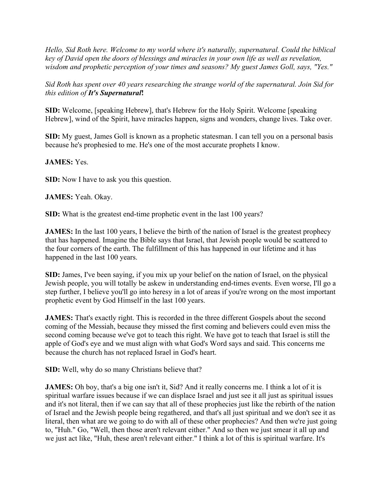*Hello, Sid Roth here. Welcome to my world where it's naturally, supernatural. Could the biblical key of David open the doors of blessings and miracles in your own life as well as revelation, wisdom and prophetic perception of your times and seasons? My guest James Goll, says, "Yes."*

*Sid Roth has spent over 40 years researching the strange world of the supernatural. Join Sid for this edition of It's Supernatural***!**

**SID:** Welcome, [speaking Hebrew], that's Hebrew for the Holy Spirit. Welcome [speaking Hebrew], wind of the Spirit, have miracles happen, signs and wonders, change lives. Take over.

**SID:** My guest, James Goll is known as a prophetic statesman. I can tell you on a personal basis because he's prophesied to me. He's one of the most accurate prophets I know.

## **JAMES:** Yes.

**SID:** Now I have to ask you this question.

**JAMES:** Yeah. Okay.

**SID:** What is the greatest end-time prophetic event in the last 100 years?

**JAMES:** In the last 100 years, I believe the birth of the nation of Israel is the greatest prophecy that has happened. Imagine the Bible says that Israel, that Jewish people would be scattered to the four corners of the earth. The fulfillment of this has happened in our lifetime and it has happened in the last 100 years.

**SID:** James, I've been saying, if you mix up your belief on the nation of Israel, on the physical Jewish people, you will totally be askew in understanding end-times events. Even worse, I'll go a step further, I believe you'll go into heresy in a lot of areas if you're wrong on the most important prophetic event by God Himself in the last 100 years.

**JAMES:** That's exactly right. This is recorded in the three different Gospels about the second coming of the Messiah, because they missed the first coming and believers could even miss the second coming because we've got to teach this right. We have got to teach that Israel is still the apple of God's eye and we must align with what God's Word says and said. This concerns me because the church has not replaced Israel in God's heart.

**SID:** Well, why do so many Christians believe that?

**JAMES:** Oh boy, that's a big one isn't it, Sid? And it really concerns me. I think a lot of it is spiritual warfare issues because if we can displace Israel and just see it all just as spiritual issues and it's not literal, then if we can say that all of these prophecies just like the rebirth of the nation of Israel and the Jewish people being regathered, and that's all just spiritual and we don't see it as literal, then what are we going to do with all of these other prophecies? And then we're just going to, "Huh." Go, "Well, then those aren't relevant either." And so then we just smear it all up and we just act like, "Huh, these aren't relevant either." I think a lot of this is spiritual warfare. It's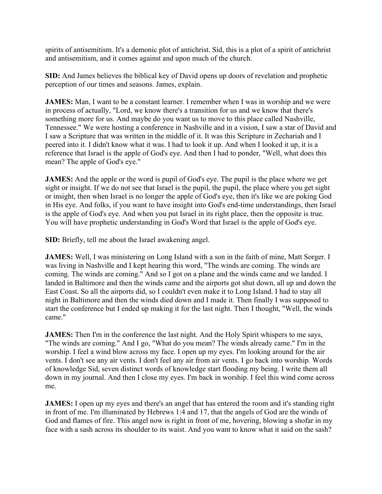spirits of antisemitism. It's a demonic plot of antichrist. Sid, this is a plot of a spirit of antichrist and antisemitism, and it comes against and upon much of the church.

**SID:** And James believes the biblical key of David opens up doors of revelation and prophetic perception of our times and seasons. James, explain.

**JAMES:** Man, I want to be a constant learner. I remember when I was in worship and we were in process of actually, "Lord, we know there's a transition for us and we know that there's something more for us. And maybe do you want us to move to this place called Nashville, Tennessee." We were hosting a conference in Nashville and in a vision, I saw a star of David and I saw a Scripture that was written in the middle of it. It was this Scripture in Zechariah and I peered into it. I didn't know what it was. I had to look it up. And when I looked it up, it is a reference that Israel is the apple of God's eye. And then I had to ponder, "Well, what does this mean? The apple of God's eye."

**JAMES:** And the apple or the word is pupil of God's eye. The pupil is the place where we get sight or insight. If we do not see that Israel is the pupil, the pupil, the place where you get sight or insight, then when Israel is no longer the apple of God's eye, then it's like we are poking God in His eye. And folks, if you want to have insight into God's end-time understandings, then Israel is the apple of God's eye. And when you put Israel in its right place, then the opposite is true. You will have prophetic understanding in God's Word that Israel is the apple of God's eye.

**SID:** Briefly, tell me about the Israel awakening angel.

**JAMES:** Well, I was ministering on Long Island with a son in the faith of mine, Matt Sorger. I was living in Nashville and I kept hearing this word, "The winds are coming. The winds are coming. The winds are coming." And so I got on a plane and the winds came and we landed. I landed in Baltimore and then the winds came and the airports got shut down, all up and down the East Coast. So all the airports did, so I couldn't even make it to Long Island. I had to stay all night in Baltimore and then the winds died down and I made it. Then finally I was supposed to start the conference but I ended up making it for the last night. Then I thought, "Well, the winds came."

**JAMES:** Then I'm in the conference the last night. And the Holy Spirit whispers to me says, "The winds are coming." And I go, "What do you mean? The winds already came." I'm in the worship. I feel a wind blow across my face. I open up my eyes. I'm looking around for the air vents. I don't see any air vents. I don't feel any air from air vents. I go back into worship. Words of knowledge Sid, seven distinct words of knowledge start flooding my being. I write them all down in my journal. And then I close my eyes. I'm back in worship. I feel this wind come across me.

**JAMES:** I open up my eyes and there's an angel that has entered the room and it's standing right in front of me. I'm illuminated by Hebrews 1:4 and 17, that the angels of God are the winds of God and flames of fire. This angel now is right in front of me, hovering, blowing a shofar in my face with a sash across its shoulder to its waist. And you want to know what it said on the sash?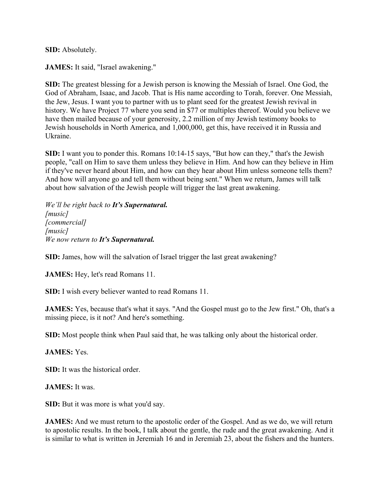**SID:** Absolutely.

**JAMES:** It said, "Israel awakening."

**SID:** The greatest blessing for a Jewish person is knowing the Messiah of Israel. One God, the God of Abraham, Isaac, and Jacob. That is His name according to Torah, forever. One Messiah, the Jew, Jesus. I want you to partner with us to plant seed for the greatest Jewish revival in history. We have Project 77 where you send in \$77 or multiples thereof. Would you believe we have then mailed because of your generosity, 2.2 million of my Jewish testimony books to Jewish households in North America, and 1,000,000, get this, have received it in Russia and Ukraine.

**SID:** I want you to ponder this. Romans 10:14-15 says, "But how can they," that's the Jewish people, "call on Him to save them unless they believe in Him. And how can they believe in Him if they've never heard about Him, and how can they hear about Him unless someone tells them? And how will anyone go and tell them without being sent." When we return, James will talk about how salvation of the Jewish people will trigger the last great awakening.

*We'll be right back to It's Supernatural. [music] [commercial] [music] We now return to It's Supernatural.*

**SID:** James, how will the salvation of Israel trigger the last great awakening?

**JAMES:** Hey, let's read Romans 11.

**SID:** I wish every believer wanted to read Romans 11.

**JAMES:** Yes, because that's what it says. "And the Gospel must go to the Jew first." Oh, that's a missing piece, is it not? And here's something.

**SID:** Most people think when Paul said that, he was talking only about the historical order.

**JAMES:** Yes.

**SID:** It was the historical order.

**JAMES:** It was.

**SID:** But it was more is what you'd say.

**JAMES:** And we must return to the apostolic order of the Gospel. And as we do, we will return to apostolic results. In the book, I talk about the gentle, the rude and the great awakening. And it is similar to what is written in Jeremiah 16 and in Jeremiah 23, about the fishers and the hunters.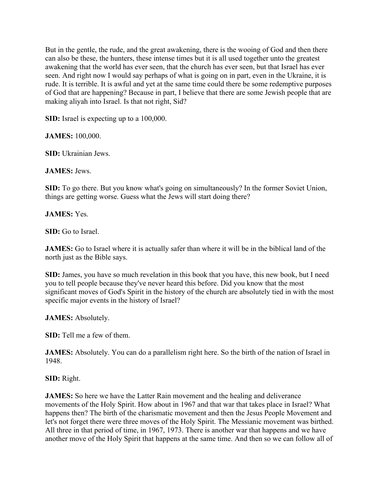But in the gentle, the rude, and the great awakening, there is the wooing of God and then there can also be these, the hunters, these intense times but it is all used together unto the greatest awakening that the world has ever seen, that the church has ever seen, but that Israel has ever seen. And right now I would say perhaps of what is going on in part, even in the Ukraine, it is rude. It is terrible. It is awful and yet at the same time could there be some redemptive purposes of God that are happening? Because in part, I believe that there are some Jewish people that are making aliyah into Israel. Is that not right, Sid?

**SID:** Israel is expecting up to a 100,000.

**JAMES:** 100,000.

**SID:** Ukrainian Jews.

**JAMES:** Jews.

**SID:** To go there. But you know what's going on simultaneously? In the former Soviet Union, things are getting worse. Guess what the Jews will start doing there?

**JAMES:** Yes.

**SID:** Go to Israel.

**JAMES:** Go to Israel where it is actually safer than where it will be in the biblical land of the north just as the Bible says.

**SID:** James, you have so much revelation in this book that you have, this new book, but I need you to tell people because they've never heard this before. Did you know that the most significant moves of God's Spirit in the history of the church are absolutely tied in with the most specific major events in the history of Israel?

**JAMES:** Absolutely.

**SID:** Tell me a few of them.

**JAMES:** Absolutely. You can do a parallelism right here. So the birth of the nation of Israel in 1948.

**SID:** Right.

**JAMES:** So here we have the Latter Rain movement and the healing and deliverance movements of the Holy Spirit. How about in 1967 and that war that takes place in Israel? What happens then? The birth of the charismatic movement and then the Jesus People Movement and let's not forget there were three moves of the Holy Spirit. The Messianic movement was birthed. All three in that period of time, in 1967, 1973. There is another war that happens and we have another move of the Holy Spirit that happens at the same time. And then so we can follow all of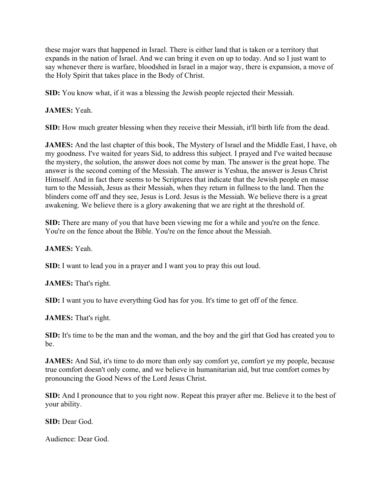these major wars that happened in Israel. There is either land that is taken or a territory that expands in the nation of Israel. And we can bring it even on up to today. And so I just want to say whenever there is warfare, bloodshed in Israel in a major way, there is expansion, a move of the Holy Spirit that takes place in the Body of Christ.

**SID:** You know what, if it was a blessing the Jewish people rejected their Messiah.

**JAMES:** Yeah.

**SID:** How much greater blessing when they receive their Messiah, it'll birth life from the dead.

**JAMES:** And the last chapter of this book, The Mystery of Israel and the Middle East, I have, oh my goodness. I've waited for years Sid, to address this subject. I prayed and I've waited because the mystery, the solution, the answer does not come by man. The answer is the great hope. The answer is the second coming of the Messiah. The answer is Yeshua, the answer is Jesus Christ Himself. And in fact there seems to be Scriptures that indicate that the Jewish people en masse turn to the Messiah, Jesus as their Messiah, when they return in fullness to the land. Then the blinders come off and they see, Jesus is Lord. Jesus is the Messiah. We believe there is a great awakening. We believe there is a glory awakening that we are right at the threshold of.

**SID:** There are many of you that have been viewing me for a while and you're on the fence. You're on the fence about the Bible. You're on the fence about the Messiah.

**JAMES:** Yeah.

**SID:** I want to lead you in a prayer and I want you to pray this out loud.

**JAMES:** That's right.

**SID:** I want you to have everything God has for you. It's time to get off of the fence.

**JAMES:** That's right.

**SID:** It's time to be the man and the woman, and the boy and the girl that God has created you to be.

**JAMES:** And Sid, it's time to do more than only say comfort ye, comfort ye my people, because true comfort doesn't only come, and we believe in humanitarian aid, but true comfort comes by pronouncing the Good News of the Lord Jesus Christ.

**SID:** And I pronounce that to you right now. Repeat this prayer after me. Believe it to the best of your ability.

**SID:** Dear God.

Audience: Dear God.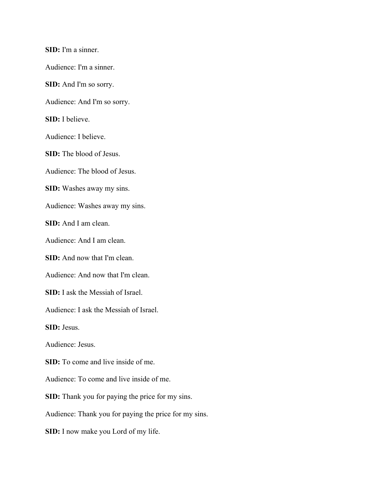**SID:** I'm a sinner. Audience: I'm a sinner. **SID:** And I'm so sorry. Audience: And I'm so sorry. **SID:** I believe. Audience: I believe. **SID:** The blood of Jesus. Audience: The blood of Jesus. **SID:** Washes away my sins. Audience: Washes away my sins. **SID:** And I am clean. Audience: And I am clean. **SID:** And now that I'm clean. Audience: And now that I'm clean. **SID:** I ask the Messiah of Israel. Audience: I ask the Messiah of Israel. **SID:** Jesus. Audience: Jesus. **SID:** To come and live inside of me. Audience: To come and live inside of me. **SID:** Thank you for paying the price for my sins. Audience: Thank you for paying the price for my sins. **SID:** I now make you Lord of my life.